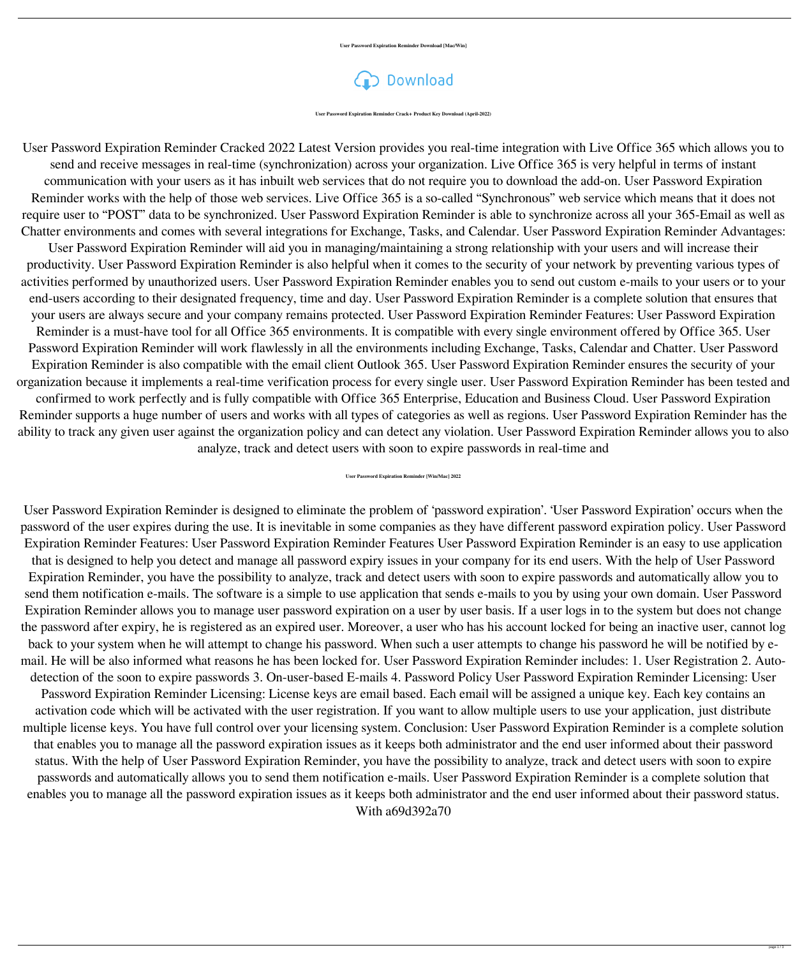**User Password Expiration Reminder Download [Mac/Win]**

Download

**User Password Expiration Reminder Crack+ Product Key Download (April-2022)**

User Password Expiration Reminder Cracked 2022 Latest Version provides you real-time integration with Live Office 365 which allows you to send and receive messages in real-time (synchronization) across your organization. Live Office 365 is very helpful in terms of instant communication with your users as it has inbuilt web services that do not require you to download the add-on. User Password Expiration Reminder works with the help of those web services. Live Office 365 is a so-called "Synchronous" web service which means that it does not require user to "POST" data to be synchronized. User Password Expiration Reminder is able to synchronize across all your 365-Email as well as Chatter environments and comes with several integrations for Exchange, Tasks, and Calendar. User Password Expiration Reminder Advantages:

User Password Expiration Reminder will aid you in managing/maintaining a strong relationship with your users and will increase their productivity. User Password Expiration Reminder is also helpful when it comes to the security of your network by preventing various types of activities performed by unauthorized users. User Password Expiration Reminder enables you to send out custom e-mails to your users or to your end-users according to their designated frequency, time and day. User Password Expiration Reminder is a complete solution that ensures that your users are always secure and your company remains protected. User Password Expiration Reminder Features: User Password Expiration Reminder is a must-have tool for all Office 365 environments. It is compatible with every single environment offered by Office 365. User Password Expiration Reminder will work flawlessly in all the environments including Exchange, Tasks, Calendar and Chatter. User Password Expiration Reminder is also compatible with the email client Outlook 365. User Password Expiration Reminder ensures the security of your

organization because it implements a real-time verification process for every single user. User Password Expiration Reminder has been tested and confirmed to work perfectly and is fully compatible with Office 365 Enterprise, Education and Business Cloud. User Password Expiration Reminder supports a huge number of users and works with all types of categories as well as regions. User Password Expiration Reminder has the ability to track any given user against the organization policy and can detect any violation. User Password Expiration Reminder allows you to also analyze, track and detect users with soon to expire passwords in real-time and

## **User Password Expiration Reminder [Win/Mac] 2022**

User Password Expiration Reminder is designed to eliminate the problem of 'password expiration'. 'User Password Expiration' occurs when the password of the user expires during the use. It is inevitable in some companies as they have different password expiration policy. User Password Expiration Reminder Features: User Password Expiration Reminder Features User Password Expiration Reminder is an easy to use application that is designed to help you detect and manage all password expiry issues in your company for its end users. With the help of User Password Expiration Reminder, you have the possibility to analyze, track and detect users with soon to expire passwords and automatically allow you to send them notification e-mails. The software is a simple to use application that sends e-mails to you by using your own domain. User Password Expiration Reminder allows you to manage user password expiration on a user by user basis. If a user logs in to the system but does not change the password after expiry, he is registered as an expired user. Moreover, a user who has his account locked for being an inactive user, cannot log back to your system when he will attempt to change his password. When such a user attempts to change his password he will be notified by email. He will be also informed what reasons he has been locked for. User Password Expiration Reminder includes: 1. User Registration 2. Autodetection of the soon to expire passwords 3. On-user-based E-mails 4. Password Policy User Password Expiration Reminder Licensing: User Password Expiration Reminder Licensing: License keys are email based. Each email will be assigned a unique key. Each key contains an activation code which will be activated with the user registration. If you want to allow multiple users to use your application, just distribute multiple license keys. You have full control over your licensing system. Conclusion: User Password Expiration Reminder is a complete solution that enables you to manage all the password expiration issues as it keeps both administrator and the end user informed about their password

status. With the help of User Password Expiration Reminder, you have the possibility to analyze, track and detect users with soon to expire passwords and automatically allows you to send them notification e-mails. User Password Expiration Reminder is a complete solution that enables you to manage all the password expiration issues as it keeps both administrator and the end user informed about their password status. With a69d392a70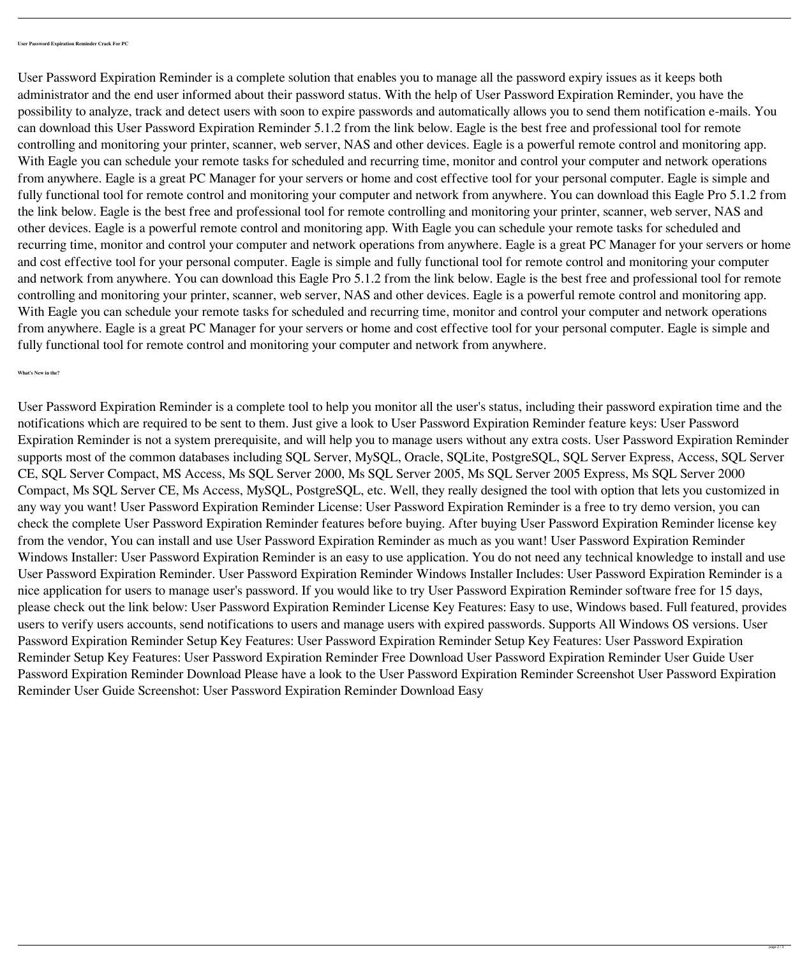**User Password Expiration Reminder Crack For PC**

User Password Expiration Reminder is a complete solution that enables you to manage all the password expiry issues as it keeps both administrator and the end user informed about their password status. With the help of User Password Expiration Reminder, you have the possibility to analyze, track and detect users with soon to expire passwords and automatically allows you to send them notification e-mails. You can download this User Password Expiration Reminder 5.1.2 from the link below. Eagle is the best free and professional tool for remote controlling and monitoring your printer, scanner, web server, NAS and other devices. Eagle is a powerful remote control and monitoring app. With Eagle you can schedule your remote tasks for scheduled and recurring time, monitor and control your computer and network operations from anywhere. Eagle is a great PC Manager for your servers or home and cost effective tool for your personal computer. Eagle is simple and fully functional tool for remote control and monitoring your computer and network from anywhere. You can download this Eagle Pro 5.1.2 from the link below. Eagle is the best free and professional tool for remote controlling and monitoring your printer, scanner, web server, NAS and other devices. Eagle is a powerful remote control and monitoring app. With Eagle you can schedule your remote tasks for scheduled and recurring time, monitor and control your computer and network operations from anywhere. Eagle is a great PC Manager for your servers or home and cost effective tool for your personal computer. Eagle is simple and fully functional tool for remote control and monitoring your computer and network from anywhere. You can download this Eagle Pro 5.1.2 from the link below. Eagle is the best free and professional tool for remote controlling and monitoring your printer, scanner, web server, NAS and other devices. Eagle is a powerful remote control and monitoring app. With Eagle you can schedule your remote tasks for scheduled and recurring time, monitor and control your computer and network operations from anywhere. Eagle is a great PC Manager for your servers or home and cost effective tool for your personal computer. Eagle is simple and fully functional tool for remote control and monitoring your computer and network from anywhere.

User Password Expiration Reminder is a complete tool to help you monitor all the user's status, including their password expiration time and the notifications which are required to be sent to them. Just give a look to User Password Expiration Reminder feature keys: User Password Expiration Reminder is not a system prerequisite, and will help you to manage users without any extra costs. User Password Expiration Reminder supports most of the common databases including SQL Server, MySQL, Oracle, SQLite, PostgreSQL, SQL Server Express, Access, SQL Server CE, SQL Server Compact, MS Access, Ms SQL Server 2000, Ms SQL Server 2005, Ms SQL Server 2005 Express, Ms SQL Server 2000 Compact, Ms SQL Server CE, Ms Access, MySQL, PostgreSQL, etc. Well, they really designed the tool with option that lets you customized in any way you want! User Password Expiration Reminder License: User Password Expiration Reminder is a free to try demo version, you can check the complete User Password Expiration Reminder features before buying. After buying User Password Expiration Reminder license key from the vendor, You can install and use User Password Expiration Reminder as much as you want! User Password Expiration Reminder Windows Installer: User Password Expiration Reminder is an easy to use application. You do not need any technical knowledge to install and use User Password Expiration Reminder. User Password Expiration Reminder Windows Installer Includes: User Password Expiration Reminder is a nice application for users to manage user's password. If you would like to try User Password Expiration Reminder software free for 15 days, please check out the link below: User Password Expiration Reminder License Key Features: Easy to use, Windows based. Full featured, provides users to verify users accounts, send notifications to users and manage users with expired passwords. Supports All Windows OS versions. User Password Expiration Reminder Setup Key Features: User Password Expiration Reminder Setup Key Features: User Password Expiration Reminder Setup Key Features: User Password Expiration Reminder Free Download User Password Expiration Reminder User Guide User Password Expiration Reminder Download Please have a look to the User Password Expiration Reminder Screenshot User Password Expiration Reminder User Guide Screenshot: User Password Expiration Reminder Download Easy